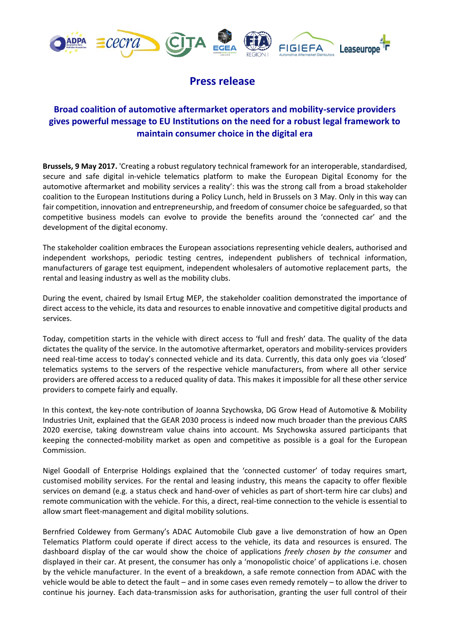

## **Press release**

## **Broad coalition of automotive aftermarket operators and mobility-service providers gives powerful message to EU Institutions on the need for a robust legal framework to maintain consumer choice in the digital era**

**Brussels, 9 May 2017.** 'Creating a robust regulatory technical framework for an interoperable, standardised, secure and safe digital in-vehicle telematics platform to make the European Digital Economy for the automotive aftermarket and mobility services a reality': this was the strong call from a broad stakeholder coalition to the European Institutions during a Policy Lunch, held in Brussels on 3 May. Only in this way can fair competition, innovation and entrepreneurship, and freedom of consumer choice be safeguarded, so that competitive business models can evolve to provide the benefits around the 'connected car' and the development of the digital economy.

The stakeholder coalition embraces the European associations representing vehicle dealers, authorised and independent workshops, periodic testing centres, independent publishers of technical information, manufacturers of garage test equipment, independent wholesalers of automotive replacement parts, the rental and leasing industry as well as the mobility clubs.

During the event, chaired by Ismail Ertug MEP, the stakeholder coalition demonstrated the importance of direct access to the vehicle, its data and resources to enable innovative and competitive digital products and services.

Today, competition starts in the vehicle with direct access to 'full and fresh' data. The quality of the data dictates the quality of the service. In the automotive aftermarket, operators and mobility-services providers need real-time access to today's connected vehicle and its data. Currently, this data only goes via 'closed' telematics systems to the servers of the respective vehicle manufacturers, from where all other service providers are offered access to a reduced quality of data. This makes it impossible for all these other service providers to compete fairly and equally.

In this context, the key-note contribution of Joanna Szychowska, DG Grow Head of Automotive & Mobility Industries Unit, explained that the GEAR 2030 process is indeed now much broader than the previous CARS 2020 exercise, taking downstream value chains into account. Ms Szychowska assured participants that keeping the connected-mobility market as open and competitive as possible is a goal for the European Commission.

Nigel Goodall of Enterprise Holdings explained that the 'connected customer' of today requires smart, customised mobility services. For the rental and leasing industry, this means the capacity to offer flexible services on demand (e.g. a status check and hand-over of vehicles as part of short-term hire car clubs) and remote communication with the vehicle. For this, a direct, real-time connection to the vehicle is essential to allow smart fleet-management and digital mobility solutions.

Bernfried Coldewey from Germany's ADAC Automobile Club gave a live demonstration of how an Open Telematics Platform could operate if direct access to the vehicle, its data and resources is ensured. The dashboard display of the car would show the choice of applications *freely chosen by the consumer* and displayed in their car. At present, the consumer has only a 'monopolistic choice' of applications i.e. chosen by the vehicle manufacturer. In the event of a breakdown, a safe remote connection from ADAC with the vehicle would be able to detect the fault – and in some cases even remedy remotely – to allow the driver to continue his journey. Each data-transmission asks for authorisation, granting the user full control of their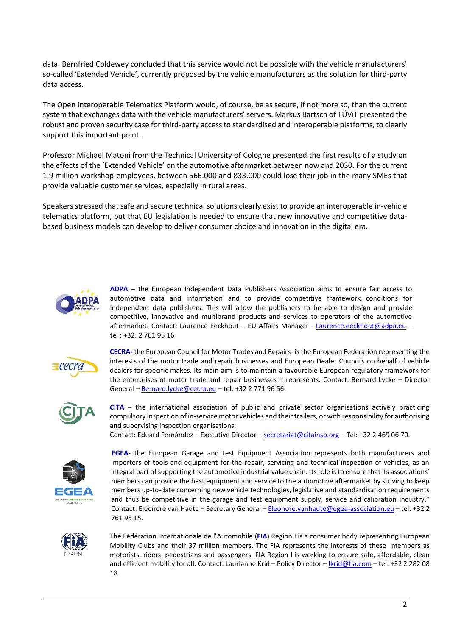data. Bernfried Coldewey concluded that this service would not be possible with the vehicle manufacturers' so-called 'Extended Vehicle', currently proposed by the vehicle manufacturers as the solution for third-party data access.

The Open Interoperable Telematics Platform would, of course, be as secure, if not more so, than the current system that exchanges data with the vehicle manufacturers' servers. Markus Bartsch of TÜViT presented the robust and proven security case for third-party access to standardised and interoperable platforms, to clearly support this important point.

Professor Michael Matoni from the Technical University of Cologne presented the first results of a study on the effects of the 'Extended Vehicle' on the automotive aftermarket between now and 2030. For the current 1.9 million workshop-employees, between 566.000 and 833.000 could lose their job in the many SMEs that provide valuable customer services, especially in rural areas.

Speakers stressed that safe and secure technical solutions clearly exist to provide an interoperable in-vehicle telematics platform, but that EU legislation is needed to ensure that new innovative and competitive databased business models can develop to deliver consumer choice and innovation in the digital era.



**ADPA** – the European Independent Data Publishers Association aims to ensure fair access to automotive data and information and to provide competitive framework conditions for independent data publishers. This will allow the publishers to be able to design and provide competitive, innovative and multibrand products and services to operators of the automotive aftermarket. Contact: Laurence Eeckhout - EU Affairs Manager - [Laurence.eeckhout@adpa.eu](mailto:Laurence.eeckhout@adpa.eu) tel : +32. 2 761 95 16



**CECRA-** the European Council for Motor Trades and Repairs- is the European Federation representing the interests of the motor trade and repair businesses and European Dealer Councils on behalf of vehicle dealers for specific makes. Its main aim is to maintain a favourable European regulatory framework for the enterprises of motor trade and repair businesses it represents. Contact: Bernard Lycke – Director General – [Bernard.lycke@cecra.eu](mailto:Bernard.lycke@cecra.eu) – tel: +32 2 771 96 56.



**CITA** – the international association of public and private sector organisations actively practicing compulsory inspection of in-service motor vehicles and their trailers, or with responsibility for authorising and supervising inspection organisations.

Contact: Eduard Fernández – Executive Director – [secretariat@citainsp.org](mailto:secretariat@citainsp.org) – Tel: +32 2 469 06 70.



**EGEA**- the European Garage and test Equipment Association represents both manufacturers and importers of tools and equipment for the repair, servicing and technical inspection of vehicles, as an integral part of supporting the automotive industrial value chain. Its role is to ensure that its associations' members can provide the best equipment and service to the automotive aftermarket by striving to keep members up-to-date concerning new vehicle technologies, legislative and standardisation requirements and thus be competitive in the garage and test equipment supply, service and calibration industry." Contact: Eléonore van Haute – Secretary General – [Eleonore.vanhaute@egea-association.eu](mailto:Eleonore.vanhaute@egea-association.eu) – tel: +32 2 761 95 15.



The Fédération Internationale de l'Automobile (**FIA**) Region I is a consumer body representing European Mobility Clubs and their 37 million members. The FIA represents the interests of these members as motorists, riders, pedestrians and passengers. FIA Region I is working to ensure safe, affordable, clean and efficient mobility for all. Contact: Laurianne Krid – Policy Director – [lkrid@fia.com](mailto:lkrid@fia.com) – tel: +32 2 282 08 18.